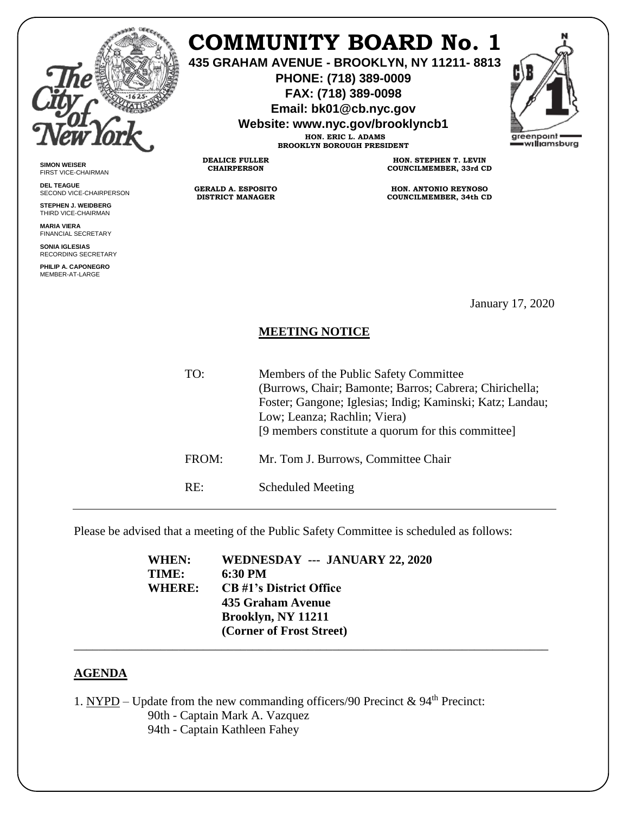

**SIMON WEISER** FIRST VICE-CHAIRMAN **DEL TEAGUE**

SECOND VICE-CHAIRPERSON **STEPHEN J. WEIDBERG** THIRD VICE-CHAIRMAN **MARIA VIERA** FINANCIAL SECRETARY **SONIA IGLESIAS** RECORDING SECRETARY **PHILIP A. CAPONEGRO** MEMBER-AT-LARGE

## **COMMUNITY BOARD No. 1**

**435 GRAHAM AVENUE - BROOKLYN, NY 11211- 8813**

**PHONE: (718) 389-0009 FAX: (718) 389-0098**

**Email: bk01@cb.nyc.gov**

**Website: www.nyc.gov/brooklyncb1**

**HON. ERIC L. ADAMS BROOKLYN BOROUGH PRESIDENT**

**DEALICE FULLER CHAIRPERSON**

**GERALD A. ESPOSITO DISTRICT MANAGER**

**HON. STEPHEN T. LEVIN COUNCILMEMBER, 33rd CD**

**HON. ANTONIO REYNOSO COUNCILMEMBER, 34th CD**

January 17, 2020

## **MEETING NOTICE**

| TO:   | Members of the Public Safety Committee<br>(Burrows, Chair; Bamonte; Barros; Cabrera; Chirichella;<br>Foster; Gangone; Iglesias; Indig; Kaminski; Katz; Landau;<br>Low; Leanza; Rachlin; Viera)<br>[9 members constitute a quorum for this committee] |
|-------|------------------------------------------------------------------------------------------------------------------------------------------------------------------------------------------------------------------------------------------------------|
| FROM: | Mr. Tom J. Burrows, Committee Chair                                                                                                                                                                                                                  |
| RE∶   | <b>Scheduled Meeting</b>                                                                                                                                                                                                                             |

Please be advised that a meeting of the Public Safety Committee is scheduled as follows:

| WHEN:         | WEDNESDAY --- JANUARY 22, 2020 |
|---------------|--------------------------------|
| TIME:         | 6:30 PM                        |
| <b>WHERE:</b> | <b>CB</b> #1's District Office |
|               | 435 Graham Avenue              |
|               | Brooklyn, NY 11211             |
|               | (Corner of Frost Street)       |
|               |                                |

## **AGENDA**

1. NYPD – Update from the new commanding officers/90 Precinct &  $94<sup>th</sup>$  Precinct: 90th - Captain Mark A. Vazquez 94th - Captain Kathleen Fahey